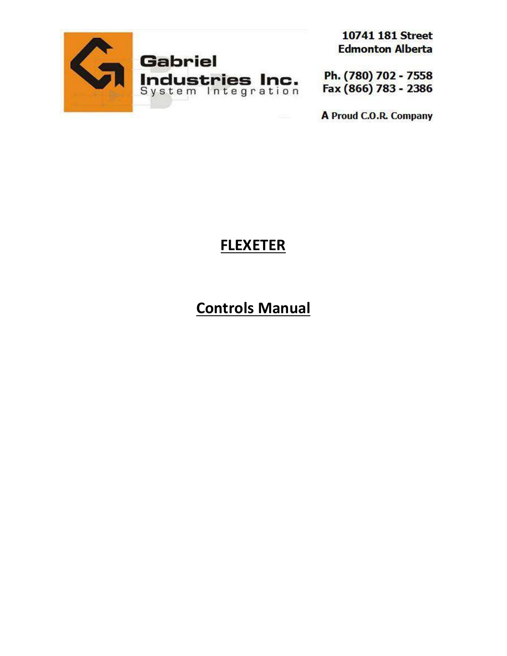

**10741 181 Street Edmonton Alberta** 

Ph. (780) 702 - 7558 Fax (866) 783 - 2386

A Proud C.O.R. Company

# **FLEXETER**

# **Controls Manual**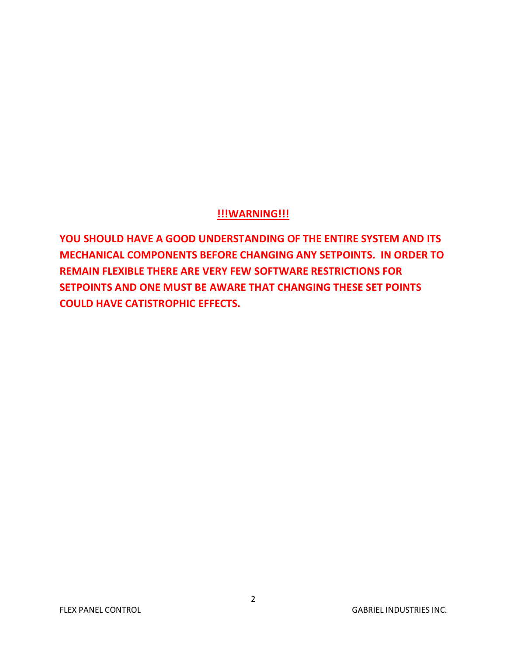## **!!!WARNING!!!**

**YOU SHOULD HAVE A GOOD UNDERSTANDING OF THE ENTIRE SYSTEM AND ITS MECHANICAL COMPONENTS BEFORE CHANGING ANY SETPOINTS. IN ORDER TO REMAIN FLEXIBLE THERE ARE VERY FEW SOFTWARE RESTRICTIONS FOR SETPOINTS AND ONE MUST BE AWARE THAT CHANGING THESE SET POINTS COULD HAVE CATISTROPHIC EFFECTS.**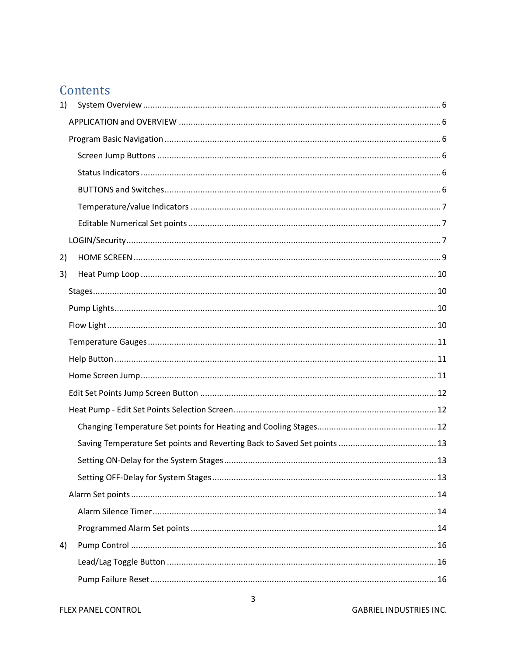## Contents

| 1) |  |  |
|----|--|--|
|    |  |  |
|    |  |  |
|    |  |  |
|    |  |  |
|    |  |  |
|    |  |  |
|    |  |  |
|    |  |  |
| 2) |  |  |
| 3) |  |  |
|    |  |  |
|    |  |  |
|    |  |  |
|    |  |  |
|    |  |  |
|    |  |  |
|    |  |  |
|    |  |  |
|    |  |  |
|    |  |  |
|    |  |  |
|    |  |  |
|    |  |  |
|    |  |  |
|    |  |  |
| 4) |  |  |
|    |  |  |
|    |  |  |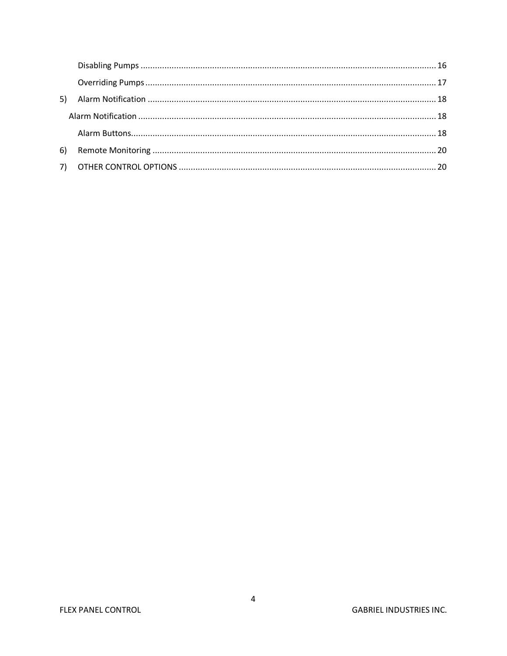| 6) |  |
|----|--|
|    |  |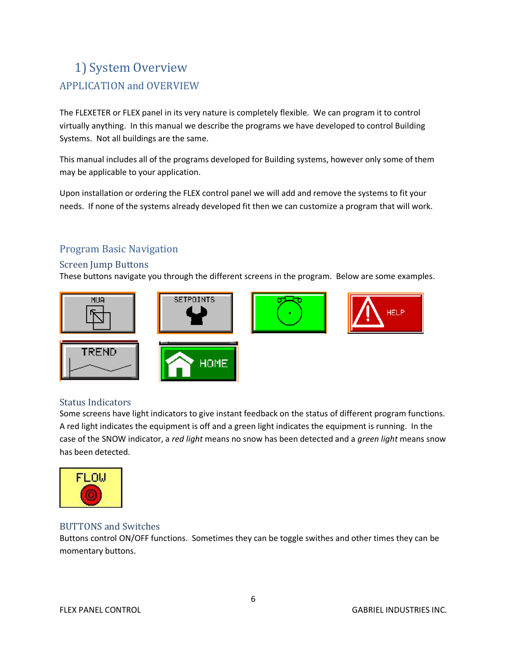## 1) System Overview APPLICATION and OVERVIEW

The FLEXETER or FLEX panel in its very nature is completely flexible. We can program it to control virtually anything. In this manual we describe the programs we have developed to control Building Systems. Not all buildings are the same.

This manual includes all of the programs developed for Building systems, however only some of them may be applicable to your application.

Upon installation or ordering the FLEX control panel we will add and remove the systems to fit your needs. If none of the systems already developed fit then we can customize a program that will work.

## Program Basic Navigation

#### Screen Jump Buttons

These buttons navigate you through the different screens in the program. Below are some examples.



### Status Indicators

Some screens have light indicators to give instant feedback on the status of different program functions. A red light indicates the equipment is off and a green light indicates the equipment is running. In the case of the SNOW indicator, a *red light* means no snow has been detected and a *green light* means snow has been detected.



### BUTTONS and Switches

Buttons control ON/OFF functions. Sometimes they can be toggle swithes and other times they can be momentary buttons.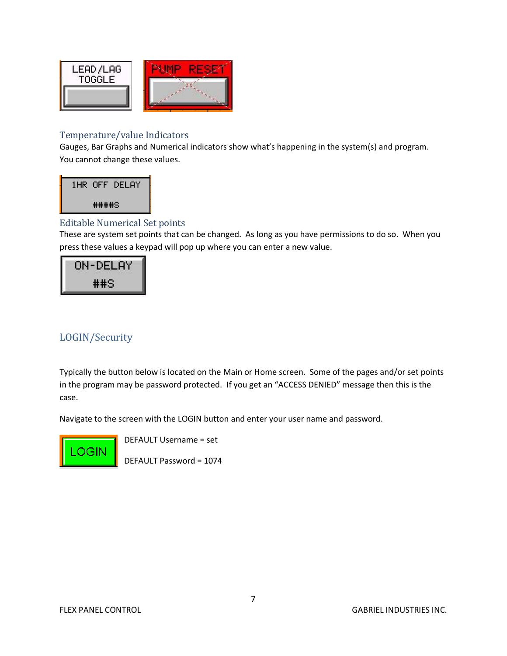

#### Temperature/value Indicators

Gauges, Bar Graphs and Numerical indicators show what's happening in the system(s) and program. You cannot change these values.



### Editable Numerical Set points

These are system set points that can be changed. As long as you have permissions to do so. When you press these values a keypad will pop up where you can enter a new value.



## LOGIN/Security

Typically the button below is located on the Main or Home screen. Some of the pages and/or set points in the program may be password protected. If you get an "ACCESS DENIED" message then this is the case.

Navigate to the screen with the LOGIN button and enter your user name and password.



DEFAULT Username = set

DEFAULT Password = 1074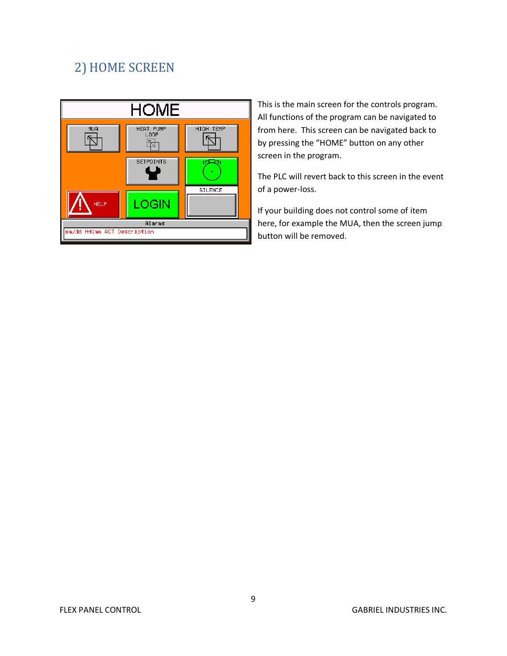## 2) HOME SCREEN



This is the main screen for the controls program. All functions of the program can be navigated to from here. This screen can be navigated back to by pressing the "HOME" button on any other screen in the program.

The PLC will revert back to this screen in the event of a power-loss.

If your building does not control some of item here, for example the MUA, then the screen jump button will be removed.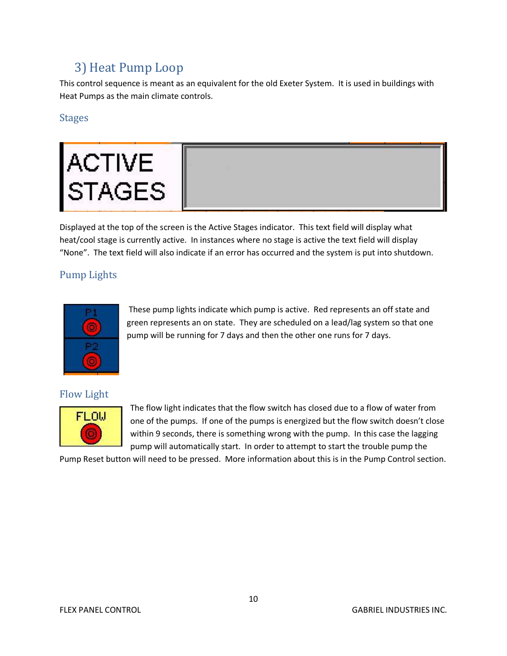## 3) Heat Pump Loop

This control sequence is meant as an equivalent for the old Exeter System. It is used in buildings with Heat Pumps as the main climate controls.

### Stages



Displayed at the top of the screen is the Active Stages indicator. This text field will display what heat/cool stage is currently active. In instances where no stage is active the text field will display "None". The text field will also indicate if an error has occurred and the system is put into shutdown.

## Pump Lights



These pump lights indicate which pump is active. Red represents an off state and green represents an on state. They are scheduled on a lead/lag system so that one pump will be running for 7 days and then the other one runs for 7 days.

## Flow Light



The flow light indicates that the flow switch has closed due to a flow of water from one of the pumps. If one of the pumps is energized but the flow switch doesn't close within 9 seconds, there is something wrong with the pump. In this case the lagging pump will automatically start. In order to attempt to start the trouble pump the

Pump Reset button will need to be pressed. More information about this is in the Pump Control section.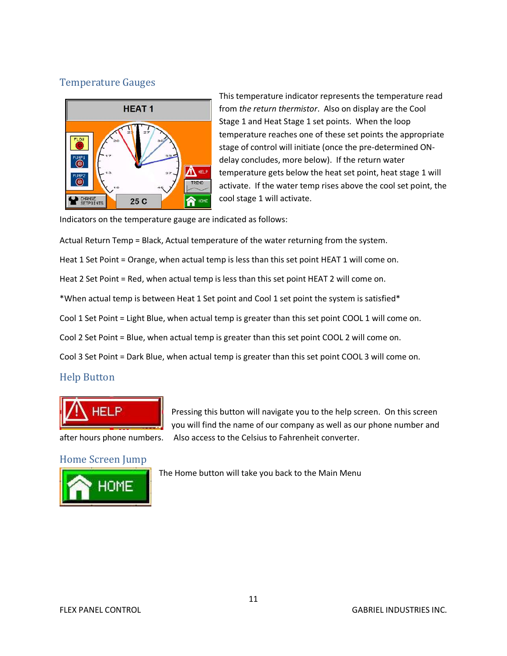## Temperature Gauges



This temperature indicator represents the temperature read from *the return thermistor*. Also on display are the Cool Stage 1 and Heat Stage 1 set points. When the loop temperature reaches one of these set points the appropriate stage of control will initiate (once the pre-determined ONdelay concludes, more below). If the return water temperature gets below the heat set point, heat stage 1 will activate. If the water temp rises above the cool set point, the cool stage 1 will activate.

Indicators on the temperature gauge are indicated as follows:

Actual Return Temp = Black, Actual temperature of the water returning from the system.

Heat 1 Set Point = Orange, when actual temp is less than this set point HEAT 1 will come on.

Heat 2 Set Point = Red, when actual temp is less than this set point HEAT 2 will come on.

\*When actual temp is between Heat 1 Set point and Cool 1 set point the system is satisfied\*

Cool 1 Set Point = Light Blue, when actual temp is greater than this set point COOL 1 will come on.

Cool 2 Set Point = Blue, when actual temp is greater than this set point COOL 2 will come on.

Cool 3 Set Point = Dark Blue, when actual temp is greater than this set point COOL 3 will come on.

### Help Button



Pressing this button will navigate you to the help screen. On this screen you will find the name of our company as well as our phone number and after hours phone numbers. Also access to the Celsius to Fahrenheit converter.

### Home Screen Jump



The Home button will take you back to the Main Menu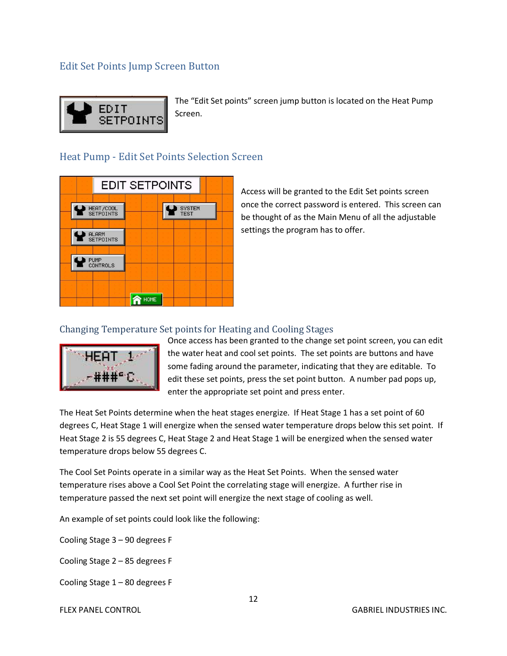## Edit Set Points Jump Screen Button



The "Edit Set points" screen jump button is located on the Heat Pump Screen.

## Heat Pump - Edit Set Points Selection Screen



Access will be granted to the Edit Set points screen once the correct password is entered. This screen can be thought of as the Main Menu of all the adjustable settings the program has to offer.

#### Changing Temperature Set points for Heating and Cooling Stages



Once access has been granted to the change set point screen, you can edit the water heat and cool set points. The set points are buttons and have some fading around the parameter, indicating that they are editable. To edit these set points, press the set point button. A number pad pops up, enter the appropriate set point and press enter.

The Heat Set Points determine when the heat stages energize. If Heat Stage 1 has a set point of 60 degrees C, Heat Stage 1 will energize when the sensed water temperature drops below this set point. If Heat Stage 2 is 55 degrees C, Heat Stage 2 and Heat Stage 1 will be energized when the sensed water temperature drops below 55 degrees C.

The Cool Set Points operate in a similar way as the Heat Set Points. When the sensed water temperature rises above a Cool Set Point the correlating stage will energize. A further rise in temperature passed the next set point will energize the next stage of cooling as well.

An example of set points could look like the following:

Cooling Stage 3 – 90 degrees F

Cooling Stage 2 – 85 degrees F

Cooling Stage 1 – 80 degrees F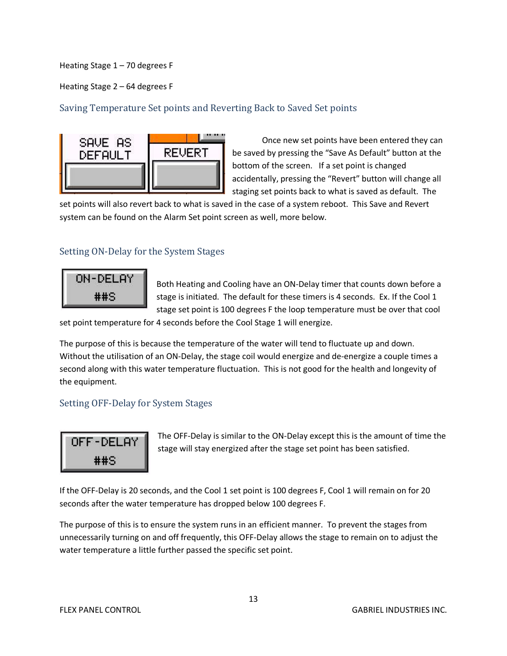Heating Stage 1 – 70 degrees F

Heating Stage 2 – 64 degrees F

#### Saving Temperature Set points and Reverting Back to Saved Set points



Once new set points have been entered they can be saved by pressing the "Save As Default" button at the bottom of the screen. If a set point is changed accidentally, pressing the "Revert" button will change all staging set points back to what is saved as default. The

set points will also revert back to what is saved in the case of a system reboot. This Save and Revert system can be found on the Alarm Set point screen as well, more below.

#### Setting ON-Delay for the System Stages



Both Heating and Cooling have an ON-Delay timer that counts down before a stage is initiated. The default for these timers is 4 seconds. Ex. If the Cool 1 stage set point is 100 degrees F the loop temperature must be over that cool

set point temperature for 4 seconds before the Cool Stage 1 will energize.

The purpose of this is because the temperature of the water will tend to fluctuate up and down. Without the utilisation of an ON-Delay, the stage coil would energize and de-energize a couple times a second along with this water temperature fluctuation. This is not good for the health and longevity of the equipment.

#### Setting OFF-Delay for System Stages



The OFF-Delay is similar to the ON-Delay except this is the amount of time the stage will stay energized after the stage set point has been satisfied.

If the OFF-Delay is 20 seconds, and the Cool 1 set point is 100 degrees F, Cool 1 will remain on for 20 seconds after the water temperature has dropped below 100 degrees F.

The purpose of this is to ensure the system runs in an efficient manner. To prevent the stages from unnecessarily turning on and off frequently, this OFF-Delay allows the stage to remain on to adjust the water temperature a little further passed the specific set point.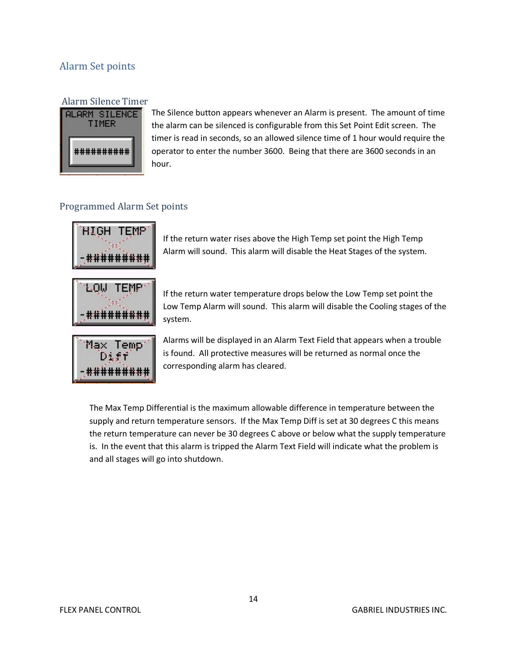## Alarm Set points



The Silence button appears whenever an Alarm is present. The amount of time the alarm can be silenced is configurable from this Set Point Edit screen. The timer is read in seconds, so an allowed silence time of 1 hour would require the operator to enter the number 3600. Being that there are 3600 seconds in an hour.

### Programmed Alarm Set points



If the return water rises above the High Temp set point the High Temp Alarm will sound. This alarm will disable the Heat Stages of the system.



If the return water temperature drops below the Low Temp set point the Low Temp Alarm will sound. This alarm will disable the Cooling stages of the system.



Alarms will be displayed in an Alarm Text Field that appears when a trouble is found. All protective measures will be returned as normal once the corresponding alarm has cleared.

The Max Temp Differential is the maximum allowable difference in temperature between the supply and return temperature sensors. If the Max Temp Diff is set at 30 degrees C this means the return temperature can never be 30 degrees C above or below what the supply temperature is. In the event that this alarm is tripped the Alarm Text Field will indicate what the problem is and all stages will go into shutdown.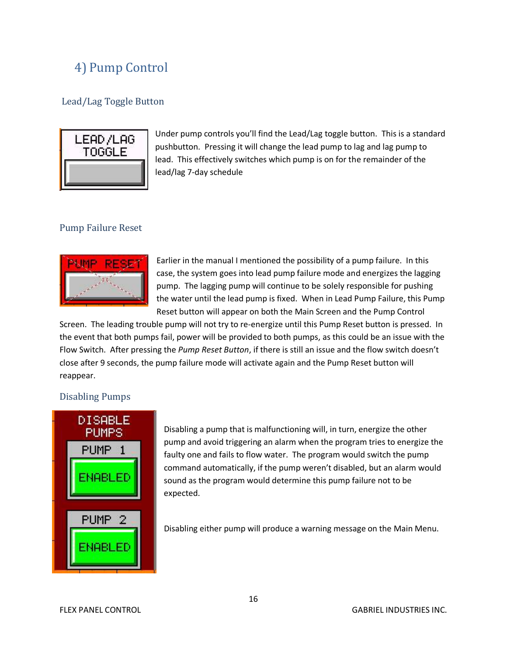## 4) Pump Control

#### Lead/Lag Toggle Button



Under pump controls you'll find the Lead/Lag toggle button. This is a standard pushbutton. Pressing it will change the lead pump to lag and lag pump to lead. This effectively switches which pump is on for the remainder of the lead/lag 7-day schedule

#### Pump Failure Reset



Earlier in the manual I mentioned the possibility of a pump failure. In this case, the system goes into lead pump failure mode and energizes the lagging pump. The lagging pump will continue to be solely responsible for pushing the water until the lead pump is fixed. When in Lead Pump Failure, this Pump Reset button will appear on both the Main Screen and the Pump Control

Screen. The leading trouble pump will not try to re-energize until this Pump Reset button is pressed. In the event that both pumps fail, power will be provided to both pumps, as this could be an issue with the Flow Switch. After pressing the *Pump Reset Button*, if there is still an issue and the flow switch doesn't close after 9 seconds, the pump failure mode will activate again and the Pump Reset button will reappear.

#### Disabling Pumps



Disabling a pump that is malfunctioning will, in turn, energize the other pump and avoid triggering an alarm when the program tries to energize the faulty one and fails to flow water. The program would switch the pump command automatically, if the pump weren't disabled, but an alarm would sound as the program would determine this pump failure not to be expected.

Disabling either pump will produce a warning message on the Main Menu.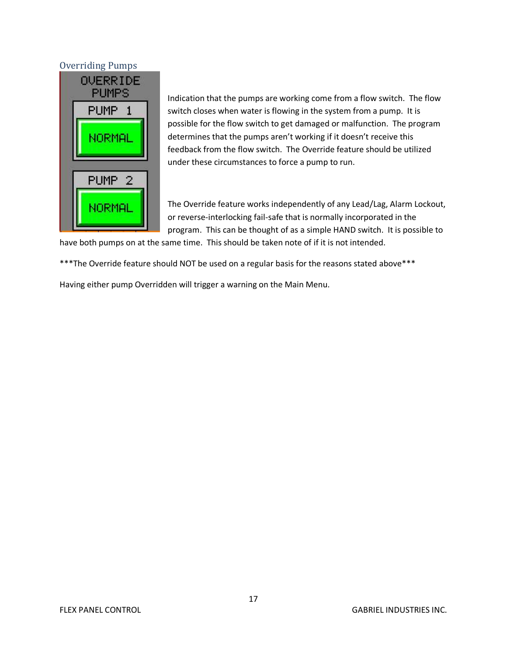#### Overriding Pumps



Indication that the pumps are working come from a flow switch. The flow switch closes when water is flowing in the system from a pump. It is possible for the flow switch to get damaged or malfunction. The program determines that the pumps aren't working if it doesn't receive this feedback from the flow switch. The Override feature should be utilized under these circumstances to force a pump to run.

The Override feature works independently of any Lead/Lag, Alarm Lockout, or reverse-interlocking fail-safe that is normally incorporated in the program. This can be thought of as a simple HAND switch. It is possible to

have both pumps on at the same time. This should be taken note of if it is not intended.

\*\*\*The Override feature should NOT be used on a regular basis for the reasons stated above\*\*\*

Having either pump Overridden will trigger a warning on the Main Menu.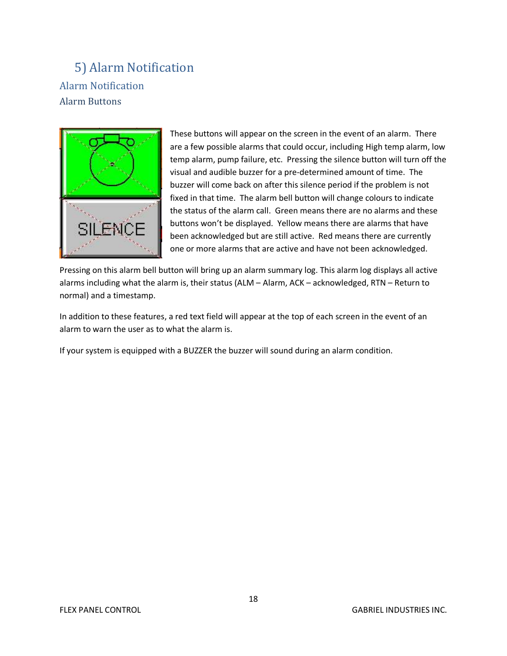## 5) Alarm Notification Alarm Notification Alarm Buttons



These buttons will appear on the screen in the event of an alarm. There are a few possible alarms that could occur, including High temp alarm, low temp alarm, pump failure, etc. Pressing the silence button will turn off the visual and audible buzzer for a pre-determined amount of time. The buzzer will come back on after this silence period if the problem is not fixed in that time. The alarm bell button will change colours to indicate the status of the alarm call. Green means there are no alarms and these buttons won't be displayed. Yellow means there are alarms that have been acknowledged but are still active. Red means there are currently one or more alarms that are active and have not been acknowledged.

Pressing on this alarm bell button will bring up an alarm summary log. This alarm log displays all active alarms including what the alarm is, their status (ALM – Alarm, ACK – acknowledged, RTN – Return to normal) and a timestamp.

In addition to these features, a red text field will appear at the top of each screen in the event of an alarm to warn the user as to what the alarm is.

If your system is equipped with a BUZZER the buzzer will sound during an alarm condition.